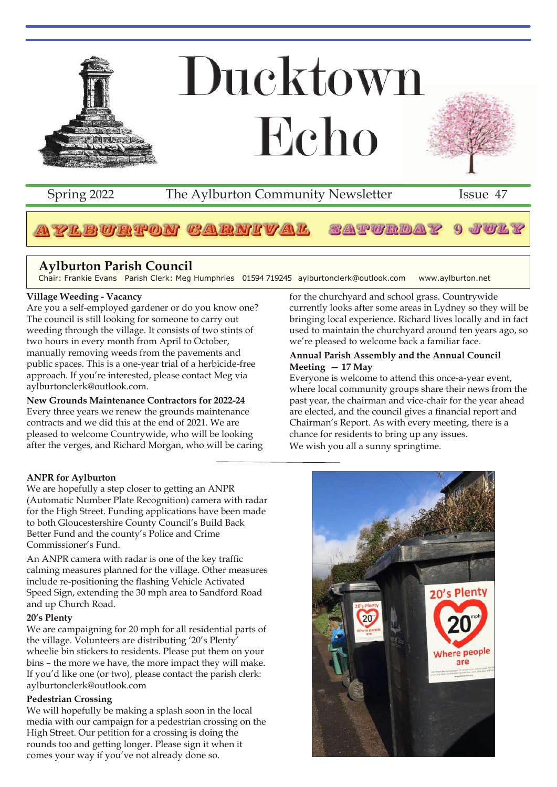

## Spring 2022 The Aylburton Community Newsletter Issue 47

#### 2EBURTON GARNIVAL SAPTENDAY J WIL Y

## **Aylburton Parish Council**

Chair: Frankie Evans Parish Clerk: Meg Humphries 01594 719245 aylburtonclerk@outlook.com www.aylburton.net

### **Village Weeding - Vacancy**

Are you a self-employed gardener or do you know one? The council is still looking for someone to carry out weeding through the village. It consists of two stints of two hours in every month from April to October, manually removing weeds from the pavements and public spaces. This is a one-year trial of a herbicide-free approach. If you're interested, please contact Meg via aylburtonclerk@outlook.com.

#### **New Grounds Maintenance Contractors for 2022-24**

Every three years we renew the grounds maintenance contracts and we did this at the end of 2021. We are pleased to welcome Countrywide, who will be looking after the verges, and Richard Morgan, who will be caring

#### **ANPR for Aylburton**

We are hopefully a step closer to getting an ANPR (Automatic Number Plate Recognition) camera with radar for the High Street. Funding applications have been made to both Gloucestershire County Council's Build Back Better Fund and the county's Police and Crime Commissioner's Fund.

An ANPR camera with radar is one of the key traffic calming measures planned for the village. Other measures include re-positioning the flashing Vehicle Activated Speed Sign, extending the 30 mph area to Sandford Road and up Church Road.

#### **20's Plenty**

We are campaigning for 20 mph for all residential parts of the village. Volunteers are distributing '20's Plenty' wheelie bin stickers to residents. Please put them on your bins – the more we have, the more impact they will make. If you'd like one (or two), please contact the parish clerk: aylburtonclerk@outlook.com

#### **Pedestrian Crossing**

We will hopefully be making a splash soon in the local media with our campaign for a pedestrian crossing on the High Street. Our petition for a crossing is doing the rounds too and getting longer. Please sign it when it comes your way if you've not already done so.

for the churchyard and school grass. Countrywide currently looks after some areas in Lydney so they will be bringing local experience. Richard lives locally and in fact used to maintain the churchyard around ten years ago, so we're pleased to welcome back a familiar face.

#### **Annual Parish Assembly and the Annual Council Meeting — 17 May**

Everyone is welcome to attend this once-a-year event, where local community groups share their news from the past year, the chairman and vice-chair for the year ahead are elected, and the council gives a financial report and Chairman's Report. As with every meeting, there is a chance for residents to bring up any issues. We wish you all a sunny springtime.

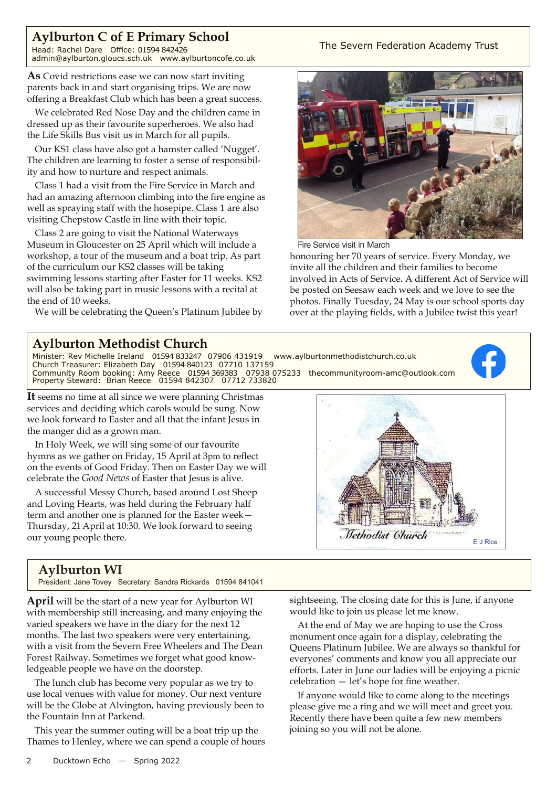## **Aylburton C of E Primary School**

Head: Rachel Dare Office: 01594 842426 admin@aylburton.gloucs.sch.uk www.aylburtoncofe.co.uk

**As** Covid restrictions ease we can now start inviting parents back in and start organising trips. We are now offering a Breakfast Club which has been a great success.

We celebrated Red Nose Day and the children came in dressed up as their favourite superheroes. We also had the Life Skills Bus visit us in March for all pupils.

Our KS1 class have also got a hamster called 'Nugget'. The children are learning to foster a sense of responsibility and how to nurture and respect animals.

Class 1 had a visit from the Fire Service in March and had an amazing afternoon climbing into the fire engine as well as spraying staff with the hosepipe. Class 1 are also visiting Chepstow Castle in line with their topic.

Class 2 are going to visit the National Waterways Museum in Gloucester on 25 April which will include a workshop, a tour of the museum and a boat trip. As part of the curriculum our KS2 classes will be taking swimming lessons starting after Easter for 11 weeks. KS2 will also be taking part in music lessons with a recital at the end of 10 weeks.

We will be celebrating the Queen's Platinum Jubilee by

#### The Severn Federation Academy Trust



Fire Service visit in March

honouring her 70 years of service. Every Monday, we invite all the children and their families to become involved in Acts of Service. A different Act of Service will be posted on Seesaw each week and we love to see the photos. Finally Tuesday, 24 May is our school sports day over at the playing fields, with a Jubilee twist this year!

## **Aylburton Methodist Church**



**It** seems no time at all since we were planning Christmas services and deciding which carols would be sung. Now we look forward to Easter and all that the infant Jesus in the manger did as a grown man.

In Holy Week, we will sing some of our favourite hymns as we gather on Friday, 15 April at 3pm to reflect on the events of Good Friday. Then on Easter Day we will celebrate the *Good News* of Easter that Jesus is alive.

A successful Messy Church, based around Lost Sheep and Loving Hearts, was held during the February half term and another one is planned for the Easter week— Thursday, 21April at 10:30. We look forward to seeing our young people there.

## **Aylburton WI**

President: Jane Tovey Secretary: Sandra Rickards 01594 841041

**April** will be the start of a new year for Aylburton WI with membership still increasing, and many enjoying the varied speakers we have in the diary for the next 12 months. The last two speakers were very entertaining, with a visit from the Severn Free Wheelers and The Dean Forest Railway. Sometimes we forget what good knowledgeable people we have on the doorstep.

The lunch club has become very popular as we try to use local venues with value for money. Our next venture will be the Globe at Alvington, having previously been to the Fountain Inn at Parkend.

This year the summer outing will be a boat trip up the Thames to Henley, where we can spend a couple of hours



sightseeing. The closing date for this is June, if anyone would like to join us please let me know.

At the end of May we are hoping to use the Cross monument once again for a display, celebrating the Queens Platinum Jubilee. We are always so thankful for everyones' comments and know you all appreciate our efforts. Later in June our ladies will be enjoying a picnic celebration — let's hope for fine weather.

If anyone would like to come along to the meetings please give me a ring and we will meet and greet you. Recently there have been quite a few new members joining so you will not be alone.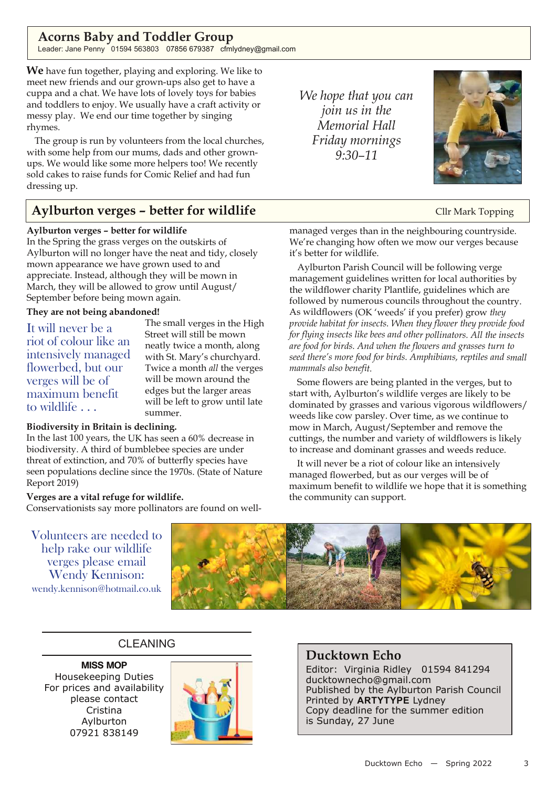## **Acorns Baby and Toddler Group**

Leader: Jane Penny 01594 563803 07856 679387 cfmlydney@gmail.com

**We** have fun together, playing and exploring. We like to meet new friends and our grown-ups also get to have a cuppa and a chat. We have lots of lovely toys for babies and toddlers to enjoy. We usually have a craft activity or messy play. We end our time together by singing rhymes.

The group is run by volunteers from the local churches, with some help from our mums, dads and other grownups. We would like some more helpers too! We recently sold cakes to raise funds for Comic Relief and had fun dressing up.

## **Aylburton verges – better for wildlife** Cllr Mark Topping

#### **Aylburton verges – better for wildlife**

In the Spring the grass verges on the outskirts of Aylburton will no longer have the neat and tidy, closely mown appearance we have grown used to and appreciate. Instead, although they will be mown in March, they will be allowed to grow until August/ September before being mown again.

#### **They are not being abandoned!**

It will never be a riot of colour like an intensively managed flowerbed, but our verges will be of maximum benefit to wildlife . . .

The small verges in the High Street will still be mown neatly twice <sup>a</sup> month, along with St. Mary's churchyard. Twice <sup>a</sup> month *all* the verges will be mown around the edges but the larger areas will be left to grow until late summer.

#### **Biodiversity in Britain is declining.**

In the last <sup>100</sup> years, the UK has seen <sup>a</sup> 60% decrease in biodiversity. <sup>A</sup> third of bumblebee species are under threat of extinction, and 70% of butterfly species have seen populations decline since the 1970s. (State of Nature Report 2019)

#### **Verges are <sup>a</sup> vital refuge for wildlife.**

Conservationists say more pollinators are found on well-

*We hope that you can join us in the Memorial Hall Friday mornings 9:30–11*



managed verges than in the neighbouring countryside. We're changing how often we mow our verges because it's better for wildlife.

Aylburton Parish Council will be following verge managemen<sup>t</sup> guidelines written for local authorities by the wildflower charity Plantlife, guidelines which are followed by numerous councils throughout the country. As wildflowers (OK 'weeds' if you prefer) grow *they provide habitat for insects. When they flower they provide food for flying insects like bees and other pollinators. All the insects are food for birds. And when the flowers and grasses turn to seed there's more food for birds. Amphibians, reptiles and small mammals also benefit.*

Some flowers are being planted in the verges, but to start with, Aylburton's wildlife verges are likely to be dominated by grasses and various vigorous wildflowers/ weeds like cow parsley. Over time, as we continue to mow in March, August/September and remove the cuttings, the number and variety of wildflowers is likely to increase and dominant grasses and weeds reduce.

It will never be <sup>a</sup> riot of colour like an intensively managed flowerbed, but as our verges will be of maximum benefit to wildlife we hope that it is something the community can support.

Volunteers are needed to help rake our wildlife verges please email Wendy Kennison: wendy.kennison@hotmail.co.uk



## CLEANING

**MISS MOP** Housekeeping Duties For prices and availability please contact Cristina Aylburton 07921 838149



## **Ducktown Echo**

Editor: Virginia Ridley 01594 841294 ducktownecho@gmail.com Published by the Aylburton Parish Council Printed by **ARTYTYPE** Lydney Copy deadline for the summer edition is Sunday, 27 June